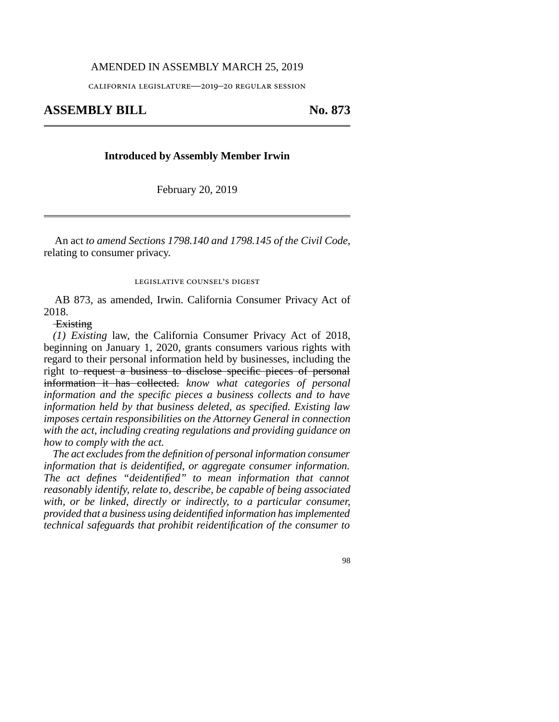#### AMENDED IN ASSEMBLY MARCH 25, 2019

california legislature—2019–20 regular session

# ASSEMBLY BILL No. 873

### **Introduced by Assembly Member Irwin**

February 20, 2019

An act *to amend Sections 1798.140 and 1798.145 of the Civil Code,* relating to consumer privacy.

legislative counsel's digest

AB 873, as amended, Irwin. California Consumer Privacy Act of 2018.

**Existing** 

*(1) Existing* law, the California Consumer Privacy Act of 2018, beginning on January 1, 2020, grants consumers various rights with regard to their personal information held by businesses, including the right to request a business to disclose specific pieces of personal information it has collected. *know what categories of personal information and the specific pieces a business collects and to have information held by that business deleted, as specified. Existing law imposes certain responsibilities on the Attorney General in connection with the act, including creating regulations and providing guidance on how to comply with the act.*

*The act excludes from the definition of personal information consumer information that is deidentified, or aggregate consumer information. The act defines "deidentified" to mean information that cannot reasonably identify, relate to, describe, be capable of being associated with, or be linked, directly or indirectly, to a particular consumer, provided that a business using deidentified information has implemented technical safeguards that prohibit reidentification of the consumer to*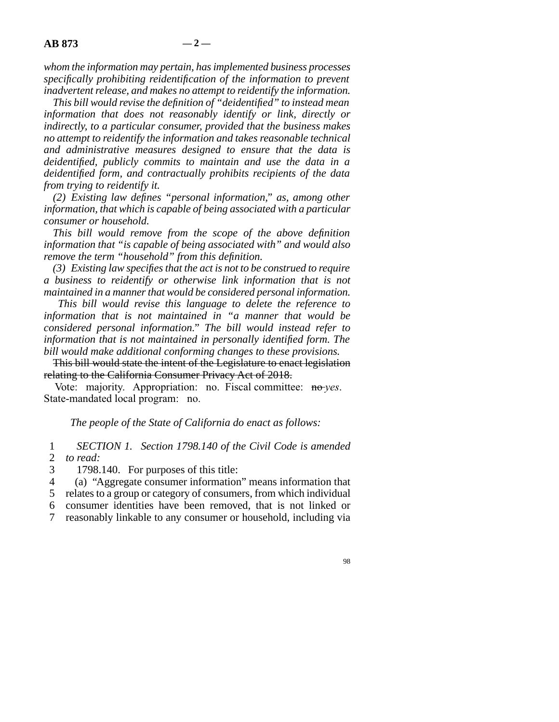*whom the information may pertain, has implemented business processes specifically prohibiting reidentification of the information to prevent inadvertent release, and makes no attempt to reidentify the information.* 

*This bill would revise the definition of "deidentified" to instead mean information that does not reasonably identify or link, directly or indirectly, to a particular consumer, provided that the business makes no attempt to reidentify the information and takes reasonable technical and administrative measures designed to ensure that the data is deidentified, publicly commits to maintain and use the data in a deidentified form, and contractually prohibits recipients of the data from trying to reidentify it.* 

*(2) Existing law defines "personal information," as, among other information, that which is capable of being associated with a particular consumer or household.* 

*This bill would remove from the scope of the above definition information that "is capable of being associated with" and would also remove the term "household" from this definition.* 

*(3) Existing law specifies that the act is not to be construed to require a business to reidentify or otherwise link information that is not maintained in a manner that would be considered personal information.* 

*This bill would revise this language to delete the reference to information that is not maintained in "a manner that would be considered personal information." The bill would instead refer to information that is not maintained in personally identified form. The bill would make additional conforming changes to these provisions.* 

This bill would state the intent of the Legislature to enact legislation relating to the California Consumer Privacy Act of 2018.

Vote: majority. Appropriation: no. Fiscal committee: no *yes*. State-mandated local program: no.

### *The people of the State of California do enact as follows:*

## line 1 *SECTION 1. Section 1798.140 of the Civil Code is amended*  2 *to read:*

3 1798.140. For purposes of this title:

line 4 (a) "Aggregate consumer information" means information that

5 relates to a group or category of consumers, from which individual

line 6 consumer identities have been removed, that is not linked or

line 7 reasonably linkable to any consumer or household, including via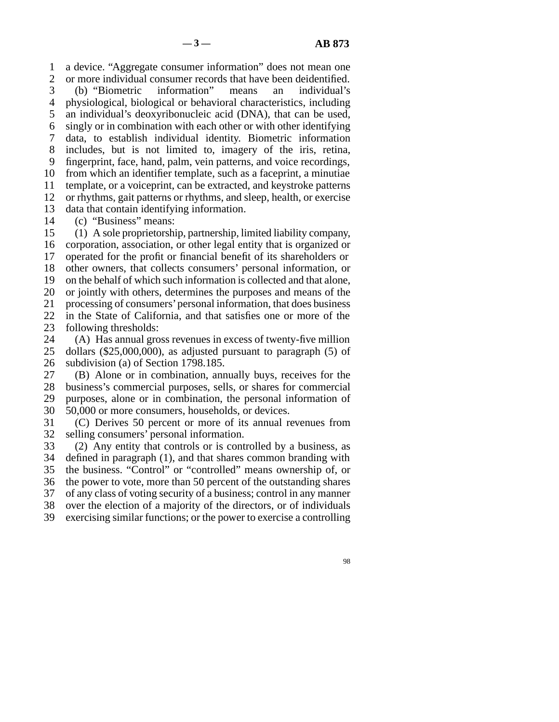line 1 a device. "Aggregate consumer information" does not mean one 2 or more individual consumer records that have been deidentified.<br>3 (b) "Biometric information" means an individual's (b) "Biometric information" means an individual's 4 physiological, biological or behavioral characteristics, including 5 an individual's deoxyribonucleic acid (DNA), that can be used,  $\delta$  singly or in combination with each other or with other identifying line 7 data, to establish individual identity. Biometric information 8 includes, but is not limited to, imagery of the iris, retina, 9 fingerprint, face, hand, palm, vein patterns, and voice recordings, 10 from which an identifier template, such as a faceprint, a minutiae 11 template, or a voiceprint, can be extracted, and keystroke patterns 12 or rhythms, gait patterns or rhythms, and sleep, health, or exercise 13 data that contain identifying information.

14 (c) "Business" means:

15 (1) A sole proprietorship, partnership, limited liability company, 16 corporation, association, or other legal entity that is organized or 17 operated for the profit or financial benefit of its shareholders or 18 other owners, that collects consumers' personal information, or 19 on the behalf of which such information is collected and that alone, 20 or jointly with others, determines the purposes and means of the 21 processing of consumers' personal information, that does business 22 in the State of California, and that satisfies one or more of the 23 following thresholds:

24 (A) Has annual gross revenues in excess of twenty-five million<br>25 dollars (\$25,000,000), as adjusted pursuant to paragraph (5) of dollars (\$25,000,000), as adjusted pursuant to paragraph  $(5)$  of 26 subdivision (a) of Section 1798.185.

27 (B) Alone or in combination, annually buys, receives for the 28 business's commercial purposes, sells, or shares for commercial 29 purposes, alone or in combination, the personal information of 30 50,000 or more consumers, households, or devices.

31 (C) Derives 50 percent or more of its annual revenues from 32 selling consumers' personal information.

33 (2) Any entity that controls or is controlled by a business, as 34 defined in paragraph  $(1)$ , and that shares common branding with line 35 the business. "Control" or "controlled" means ownership of, or 36 the power to vote, more than 50 percent of the outstanding shares 37 of any class of voting security of a business; control in any manner 38 over the election of a majority of the directors, or of individuals

39 exercising similar functions; or the power to exercise a controlling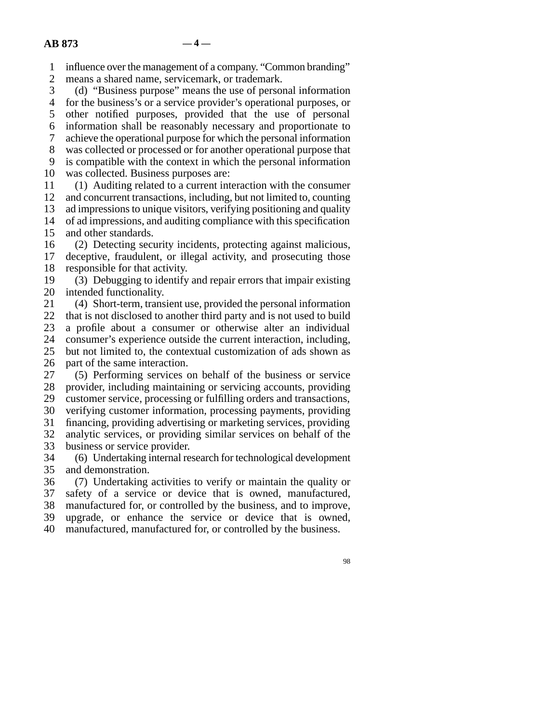1 influence over the management of a company. "Common branding"

2 means a shared name, servicemark, or trademark.<br>3 (d) "Business purpose" means the use of person

(d) "Business purpose" means the use of personal information line 4 for the business's or a service provider's operational purposes, or 5 other notified purposes, provided that the use of personal 6 information shall be reasonably necessary and proportionate to 7 achieve the operational purpose for which the personal information 8 was collected or processed or for another operational purpose that 9 is compatible with the context in which the personal information 10 was collected. Business purposes are:

 line 11 (1) Auditing related to a current interaction with the consumer 12 and concurrent transactions, including, but not limited to, counting 13 ad impressions to unique visitors, verifying positioning and quality 14 of ad impressions, and auditing compliance with this specification 15 and other standards.

16 (2) Detecting security incidents, protecting against malicious, 17 deceptive, fraudulent, or illegal activity, and prosecuting those 18 responsible for that activity.

19 (3) Debugging to identify and repair errors that impair existing 20 intended functionality.

21 (4) Short-term, transient use, provided the personal information 22 that is not disclosed to another third party and is not used to build 23 a profile about a consumer or otherwise alter an individual 24 consumer's experience outside the current interaction, including,<br>25 but not limited to, the contextual customization of ads shown as but not limited to, the contextual customization of ads shown as 26 part of the same interaction.

27 (5) Performing services on behalf of the business or service 28 provider, including maintaining or servicing accounts, providing 29 customer service, processing or fulfilling orders and transactions, 30 verifying customer information, processing payments, providing 31 financing, providing advertising or marketing services, providing 32 analytic services, or providing similar services on behalf of the business or service provider. business or service provider.

34 (6) Undertaking internal research for technological development 35 and demonstration.

36 (7) Undertaking activities to verify or maintain the quality or 37 safety of a service or device that is owned, manufactured, 38 manufactured for, or controlled by the business, and to improve, 199 upgrade, or enhance the service or device that is owned. upgrade, or enhance the service or device that is owned, 40 manufactured, manufactured for, or controlled by the business.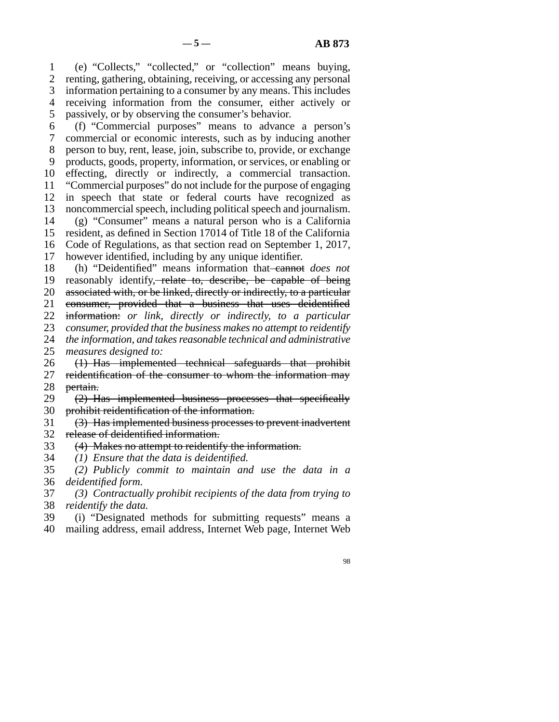line 1 (e) "Collects," "collected," or "collection" means buying, 2 renting, gathering, obtaining, receiving, or accessing any personal 3 information pertaining to a consumer by any means. This includes 4 receiving information from the consumer, either actively or 5 passively, or by observing the consumer's behavior.

 line 6 (f) "Commercial purposes" means to advance a person's 7 commercial or economic interests, such as by inducing another 8 person to buy, rent, lease, join, subscribe to, provide, or exchange 9 products, goods, property, information, or services, or enabling or 10 effecting, directly or indirectly, a commercial transaction. 11 "Commercial purposes" do not include for the purpose of engaging 12 in speech that state or federal courts have recognized as 13 noncommercial speech, including political speech and journalism.  $14$  (g) "Consumer" means a natural person who is a California 15 resident, as defined in Section 17014 of Title 18 of the California 16 Code of Regulations, as that section read on September 1, 2017,

17 however identified, including by any unique identifier.

18 (h) "Deidentified" means information that cannot *does not* 

19 reasonably identify, relate to, describe, be capable of being 20 associated with, or be linked, directly or indirectly, to a particular

21 consumer, provided that a business that uses deidentified

22 information: *or link, directly or indirectly, to a particular* 

23 *consumer, provided that the business makes no attempt to reidentify* 

24 *the information, and takes reasonable technical and administrative*<br>25 *measures designed to:* measures designed to:

26 (1) Has implemented technical safeguards that prohibit 27 reidentification of the consumer to whom the information may reidentification of the consumer to whom the information may 28 pertain.

29 (2) Has implemented business processes that specifically 30 prohibit reidentification of the information.

31 (3) Has implemented business processes to prevent inadvertent 32 release of deidentified information.

- 33 (4) Makes no attempt to reidentify the information.
- line 34 *(1) Ensure that the data is deidentified.*

 line 35 *(2) Publicly commit to maintain and use the data in a*  36 *deidentified form.* 

 line 37 *(3) Contractually prohibit recipients of the data from trying to*  38 *reidentify the data.* 

39 (i) "Designated methods for submitting requests" means a 40 mailing address, email address, Internet Web page, Internet Web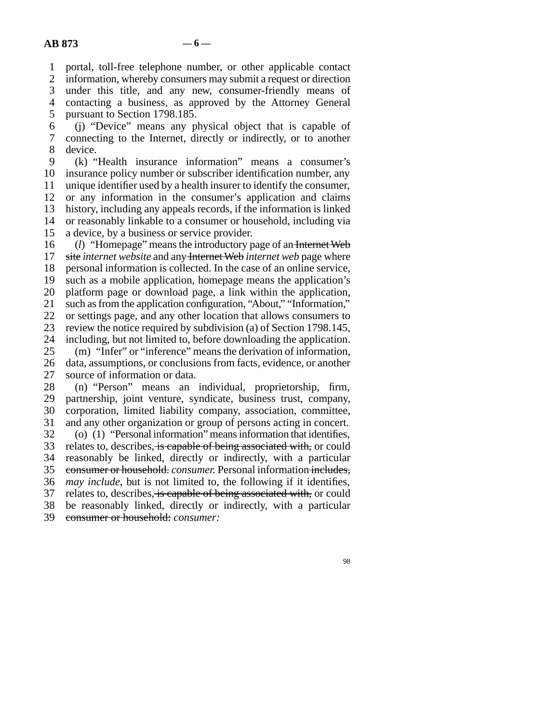line 1 portal, toll-free telephone number, or other applicable contact

2 information, whereby consumers may submit a request or direction<br>3 under this title, and any new, consumer-friendly means of

under this title, and any new, consumer-friendly means of line 4 contacting a business, as approved by the Attorney General 5 pursuant to Section 1798.185.

 line 6 (j) "Device" means any physical object that is capable of 7 connecting to the Internet, directly or indirectly, or to another 8 device.

9 (k) "Health insurance information" means a consumer's 10 insurance policy number or subscriber identification number, any 11 unique identifier used by a health insurer to identify the consumer, 12 or any information in the consumer's application and claims 13 history, including any appeals records, if the information is linked 14 or reasonably linkable to a consumer or household, including via 15 a device, by a business or service provider.

16 (*l*) "Homepage" means the introductory page of an Internet Web 17 site *internet website* and any <del>Internet Web</del> *internet web* page where 18 personal information is collected. In the case of an online service, 19 such as a mobile application, homepage means the application's 20 platform page or download page, a link within the application, 21 such as from the application configuration, "About," "Information," 22 or settings page, and any other location that allows consumers to 23 review the notice required by subdivision (a) of Section 1798.145, 24 including, but not limited to, before downloading the application.<br>25 (m) "Infer" or "inference" means the derivation of information, (m) "Infer" or "inference" means the derivation of information, 26 data, assumptions, or conclusions from facts, evidence, or another 27 source of information or data. 28 (n) "Person" means an individual, proprietorship, firm, 29 partnership, joint venture, syndicate, business trust, company,

30 corporation, limited liability company, association, committee, 31 and any other organization or group of persons acting in concert. 32 (o) (1) "Personal information" means information that identifies, 33 relates to, describes, is capable of being associated with, or could 34 reasonably be linked, directly or indirectly, with a particular 35 consumer or household. *consumer*. Personal information includes, 36 *may include*, but is not limited to, the following if it identifies, 37 relates to, describes, is capable of being associated with, or could 38 be reasonably linked, directly or indirectly, with a particular line 39 consumer or household: *consumer:*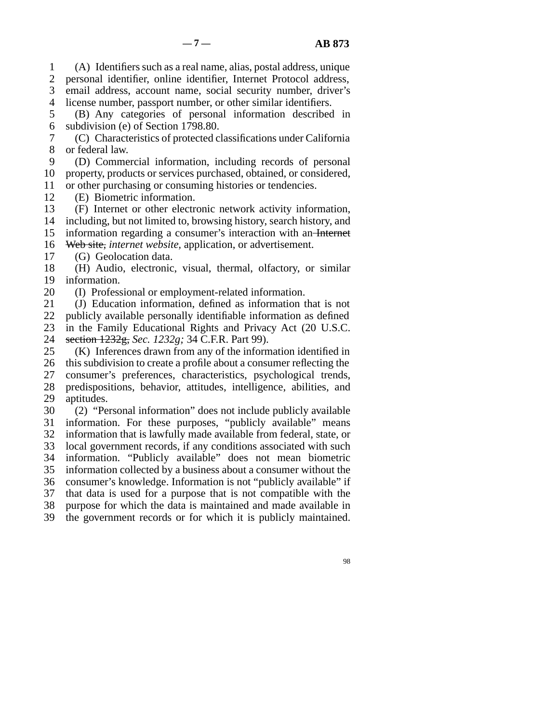line 1 (A) Identifiers such as a real name, alias, postal address, unique 2 personal identifier, online identifier, Internet Protocol address,

3 email address, account name, social security number, driver's 4 license number, passport number, or other similar identifiers.

5 (B) Any categories of personal information described in 6 subdivision (e) of Section 1798.80.

 line 7 (C) Characteristics of protected classifications under California 8 or federal law.

9 (D) Commercial information, including records of personal 10 property, products or services purchased, obtained, or considered,

11 or other purchasing or consuming histories or tendencies.

12 (E) Biometric information.

13 (F) Internet or other electronic network activity information, 14 including, but not limited to, browsing history, search history, and 15 information regarding a consumer's interaction with an Internet 16 Web site, *internet website*, application, or advertisement.

17 (G) Geolocation data.

18 (H) Audio, electronic, visual, thermal, olfactory, or similar 19 information.

20 (I) Professional or employment-related information.

21 (J) Education information, defined as information that is not

22 publicly available personally identifiable information as defined 23 in the Family Educational Rights and Privacy Act (20 U.S.C.

24 section 1232g, *Sec. 1232g*; 34 C.F.R. Part 99).<br>25 (K) Inferences drawn from any of the inform  $(K)$  Inferences drawn from any of the information identified in 26 this subdivision to create a profile about a consumer reflecting the 27 consumer's preferences, characteristics, psychological trends, 28 predispositions, behavior, attitudes, intelligence, abilities, and 29 aptitudes.

30 (2) "Personal information" does not include publicly available 31 information. For these purposes, "publicly available" means 32 information that is lawfully made available from federal, state, or 33 local government records, if any conditions associated with such 34 information. "Publicly available" does not mean biometric 35 information collected by a business about a consumer without the 36 consumer's knowledge. Information is not "publicly available" if 37 that data is used for a purpose that is not compatible with the 38 purpose for which the data is maintained and made available in 39 the government records or for which it is publicly maintained.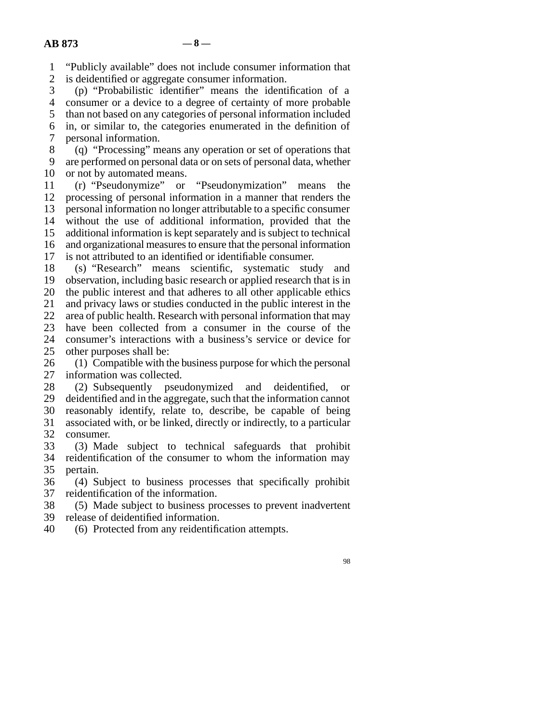1 "Publicly available" does not include consumer information that

2 is deidentified or aggregate consumer information.<br>3 (p) "Probabilistic identifier" means the identi (p) "Probabilistic identifier" means the identification of a 4 consumer or a device to a degree of certainty of more probable 5 than not based on any categories of personal information included line 6 in, or similar to, the categories enumerated in the definition of 7 personal information.

 line 8 (q) "Processing" means any operation or set of operations that 9 are performed on personal data or on sets of personal data, whether 10 or not by automated means.

 line 11 (r) "Pseudonymize" or "Pseudonymization" means the 12 processing of personal information in a manner that renders the 13 personal information no longer attributable to a specific consumer 14 without the use of additional information, provided that the 15 additional information is kept separately and is subject to technical 16 and organizational measures to ensure that the personal information 17 is not attributed to an identified or identifiable consumer.

18 (s) "Research" means scientific, systematic study and 19 observation, including basic research or applied research that is in 20 the public interest and that adheres to all other applicable ethics 21 and privacy laws or studies conducted in the public interest in the 22 area of public health. Research with personal information that may 23 have been collected from a consumer in the course of the 24 consumer's interactions with a business's service or device for 25 other purposes shall be: other purposes shall be:

26 (1) Compatible with the business purpose for which the personal information was collected. information was collected.

28 (2) Subsequently pseudonymized and deidentified, or 29 deidentified and in the aggregate, such that the information cannot 30 reasonably identify, relate to, describe, be capable of being 31 associated with, or be linked, directly or indirectly, to a particular 32 consumer.

33 (3) Made subject to technical safeguards that prohibit 34 reidentification of the consumer to whom the information may 35 pertain.

 line 36 (4) Subject to business processes that specifically prohibit 37 reidentification of the information.

38 (5) Made subject to business processes to prevent inadvertent release of deidentified information. release of deidentified information.

40 (6) Protected from any reidentification attempts.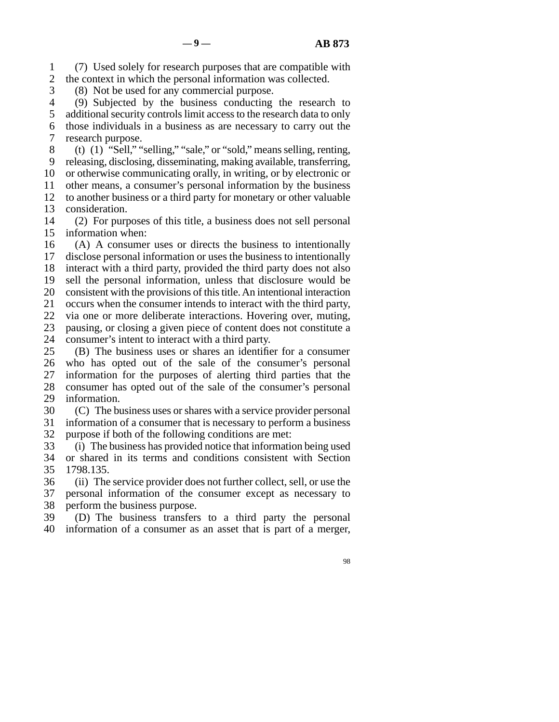line 1 (7) Used solely for research purposes that are compatible with 2 the context in which the personal information was collected.

3 (8) Not be used for any commercial purpose.

 line 4 (9) Subjected by the business conducting the research to 5 additional security controls limit access to the research data to only line 6 those individuals in a business as are necessary to carry out the 7 research purpose.

 line 8 (t) (1) "Sell," "selling," "sale," or "sold," means selling, renting, 9 releasing, disclosing, disseminating, making available, transferring, 10 or otherwise communicating orally, in writing, or by electronic or 11 other means, a consumer's personal information by the business 12 to another business or a third party for monetary or other valuable 13 consideration.

14 (2) For purposes of this title, a business does not sell personal 15 information when:

16 (A) A consumer uses or directs the business to intentionally 17 disclose personal information or uses the business to intentionally 18 interact with a third party, provided the third party does not also 19 sell the personal information, unless that disclosure would be

20 consistent with the provisions of this title. An intentional interaction

21 occurs when the consumer intends to interact with the third party,

22 via one or more deliberate interactions. Hovering over, muting,

23 pausing, or closing a given piece of content does not constitute a

24 consumer's intent to interact with a third party.<br>25 (B) The business uses or shares an identifie (B) The business uses or shares an identifier for a consumer 26 who has opted out of the sale of the consumer's personal 27 information for the purposes of alerting third parties that the 28 consumer has opted out of the sale of the consumer's personal 29 information.

30 (C) The business uses or shares with a service provider personal 31 information of a consumer that is necessary to perform a business 32 purpose if both of the following conditions are met:

33 (i) The business has provided notice that information being used 34 or shared in its terms and conditions consistent with Section line 35 1798.135.

36 (ii) The service provider does not further collect, sell, or use the 37 personal information of the consumer except as necessary to 38 perform the business purpose.

39 (D) The business transfers to a third party the personal 40 information of a consumer as an asset that is part of a merger,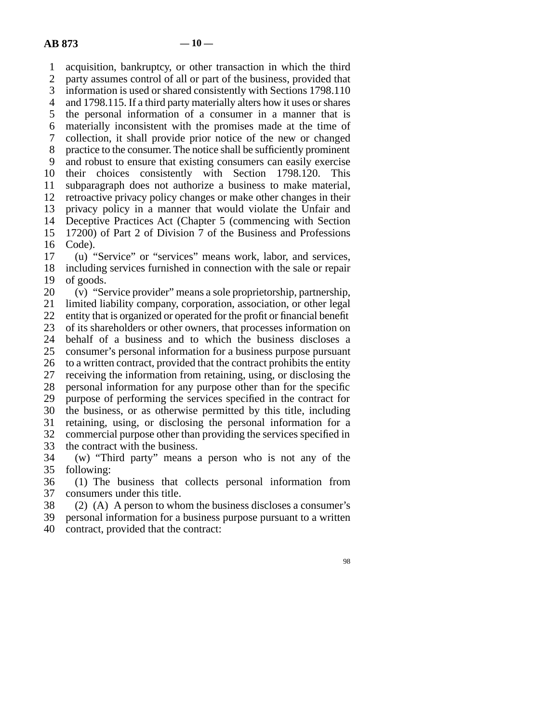line 1 acquisition, bankruptcy, or other transaction in which the third 2 party assumes control of all or part of the business, provided that<br>3 information is used or shared consistently with Sections 1798.110 information is used or shared consistently with Sections 1798.110 4 and 1798.115. If a third party materially alters how it uses or shares 5 the personal information of a consumer in a manner that is 6 materially inconsistent with the promises made at the time of 7 collection, it shall provide prior notice of the new or changed 8 practice to the consumer. The notice shall be sufficiently prominent 9 and robust to ensure that existing consumers can easily exercise 10 their choices consistently with Section 1798.120. This 11 subparagraph does not authorize a business to make material, 12 retroactive privacy policy changes or make other changes in their 13 privacy policy in a manner that would violate the Unfair and 14 Deceptive Practices Act (Chapter 5 (commencing with Section 15 17200) of Part 2 of Division 7 of the Business and Professions  $16$  Code).

17 (u) "Service" or "services" means work, labor, and services, 18 including services furnished in connection with the sale or repair  $19$  of goods.

 line 20 (v) "Service provider" means a sole proprietorship, partnership, 21 limited liability company, corporation, association, or other legal 22 entity that is organized or operated for the profit or financial benefit 23 of its shareholders or other owners, that processes information on 24 behalf of a business and to which the business discloses a<br>25 consumer's personal information for a business purpose pursuant consumer's personal information for a business purpose pursuant 26 to a written contract, provided that the contract prohibits the entity 27 receiving the information from retaining, using, or disclosing the 28 personal information for any purpose other than for the specific 29 purpose of performing the services specified in the contract for 30 the business, or as otherwise permitted by this title, including 31 retaining, using, or disclosing the personal information for a 32 commercial purpose other than providing the services specified in 33 the contract with the business.

34 (w) "Third party" means a person who is not any of the 35 following:

36 (1) The business that collects personal information from 37 consumers under this title.

 $\lambda$  (2) (A) A person to whom the business discloses a consumer's

39 personal information for a business purpose pursuant to a written

40 contract, provided that the contract: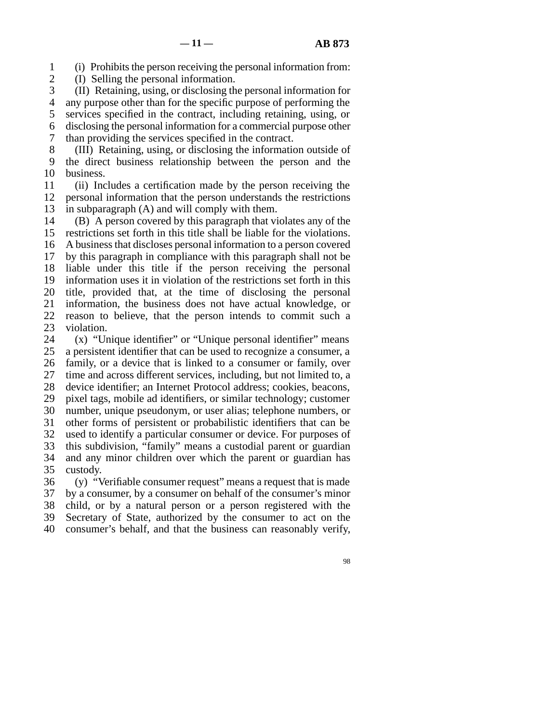line 1 (i) Prohibits the person receiving the personal information from:

2 (I) Selling the personal information.<br>3 (II) Retaining, using, or disclosing the

(II) Retaining, using, or disclosing the personal information for line 4 any purpose other than for the specific purpose of performing the 5 services specified in the contract, including retaining, using, or line 6 disclosing the personal information for a commercial purpose other 7 than providing the services specified in the contract.

8 (III) Retaining, using, or disclosing the information outside of line 9 the direct business relationship between the person and the 10 business.

 line 11 (ii) Includes a certification made by the person receiving the 12 personal information that the person understands the restrictions 13 in subparagraph  $(A)$  and will comply with them.

14 (B) A person covered by this paragraph that violates any of the 15 restrictions set forth in this title shall be liable for the violations. 16 A business that discloses personal information to a person covered 17 by this paragraph in compliance with this paragraph shall not be 18 liable under this title if the person receiving the personal 19 information uses it in violation of the restrictions set forth in this 20 title, provided that, at the time of disclosing the personal 21 information, the business does not have actual knowledge, or 22 reason to believe, that the person intends to commit such a 23 violation.

24 (x) "Unique identifier" or "Unique personal identifier" means  $25$  a persistent identifier that can be used to recognize a consumer, a a persistent identifier that can be used to recognize a consumer, a 26 family, or a device that is linked to a consumer or family, over 27 time and across different services, including, but not limited to, a 28 device identifier; an Internet Protocol address; cookies, beacons, 29 pixel tags, mobile ad identifiers, or similar technology; customer 30 number, unique pseudonym, or user alias; telephone numbers, or 31 other forms of persistent or probabilistic identifiers that can be 32 used to identify a particular consumer or device. For purposes of 33 this subdivision, "family" means a custodial parent or guardian 34 and any minor children over which the parent or guardian has 35 custody.

 $\delta$  (y) "Verifiable consumer request" means a request that is made 37 by a consumer, by a consumer on behalf of the consumer's minor 38 child, or by a natural person or a person registered with the 39 Secretary of State, authorized by the consumer to act on the 40 consumer's behalf, and that the business can reasonably verify,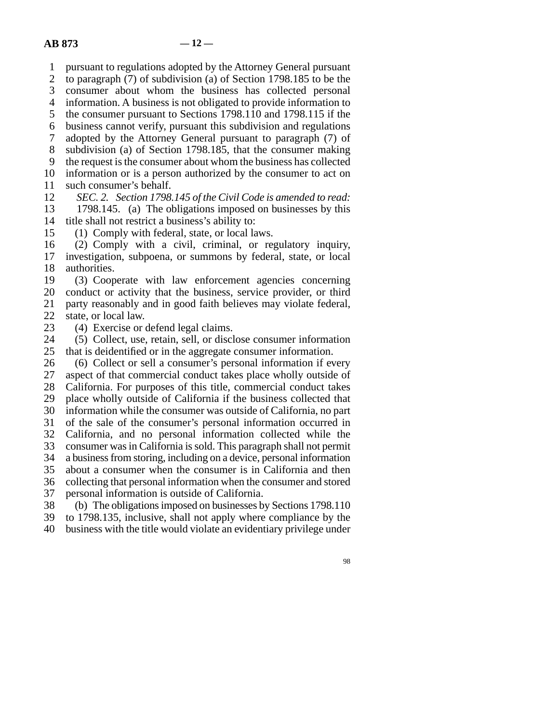line 1 pursuant to regulations adopted by the Attorney General pursuant

2 to paragraph (7) of subdivision (a) of Section 1798.185 to be the<br>3 consumer about whom the business has collected personal consumer about whom the business has collected personal

4 information. A business is not obligated to provide information to

5 the consumer pursuant to Sections 1798.110 and 1798.115 if the

line 6 business cannot verify, pursuant this subdivision and regulations

7 adopted by the Attorney General pursuant to paragraph (7) of

8 subdivision (a) of Section 1798.185, that the consumer making

9 the request is the consumer about whom the business has collected

10 information or is a person authorized by the consumer to act on 11 such consumer's behalf.

12 *SEC. 2. Section 1798.145 of the Civil Code is amended to read:* 13 1798.145. (a) The obligations imposed on businesses by this 14 title shall not restrict a business's ability to:

15 (1) Comply with federal, state, or local laws.

16 (2) Comply with a civil, criminal, or regulatory inquiry, 17 investigation, subpoena, or summons by federal, state, or local 18 authorities.

19 (3) Cooperate with law enforcement agencies concerning 20 conduct or activity that the business, service provider, or third 21 party reasonably and in good faith believes may violate federal,

22 state, or local law.<br>23 (4) Exercise or

 $(4)$  Exercise or defend legal claims.

24 (5) Collect, use, retain, sell, or disclose consumer information<br>25 that is deidentified or in the aggregate consumer information.

that is deidentified or in the aggregate consumer information.

26 (6) Collect or sell a consumer's personal information if every 27 aspect of that commercial conduct takes place wholly outside of aspect of that commercial conduct takes place wholly outside of 28 California. For purposes of this title, commercial conduct takes 29 place wholly outside of California if the business collected that 30 information while the consumer was outside of California, no part 31 of the sale of the consumer's personal information occurred in 32 California, and no personal information collected while the 33 consumer was in California is sold. This paragraph shall not permit 34 a business from storing, including on a device, personal information 35 about a consumer when the consumer is in California and then 36 collecting that personal information when the consumer and stored 37 personal information is outside of California.

38 (b) The obligations imposed on businesses by Sections 1798.110

line 39 to 1798.135, inclusive, shall not apply where compliance by the

40 business with the title would violate an evidentiary privilege under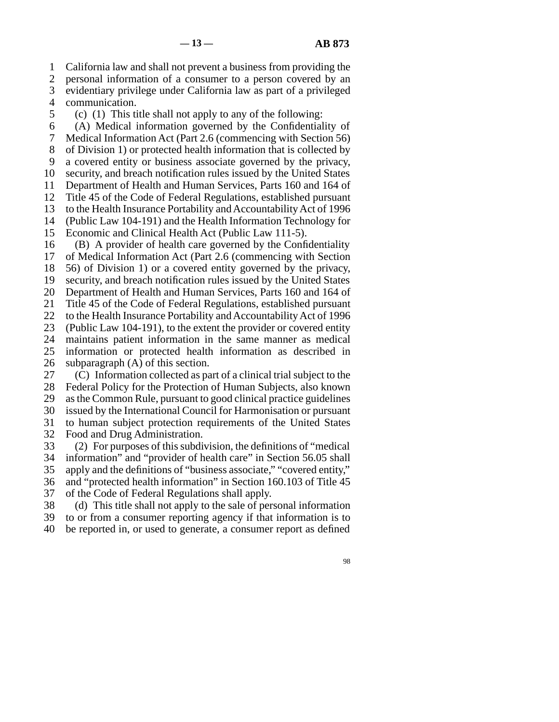line 1 California law and shall not prevent a business from providing the

2 personal information of a consumer to a person covered by an

3 evidentiary privilege under California law as part of a privileged 4 communication.

 $\delta$  (c) (1) This title shall not apply to any of the following:

line 6 (A) Medical information governed by the Confidentiality of

7 Medical Information Act (Part 2.6 (commencing with Section 56)

8 of Division 1) or protected health information that is collected by

9 a covered entity or business associate governed by the privacy,

10 security, and breach notification rules issued by the United States

11 Department of Health and Human Services, Parts 160 and 164 of

12 Title 45 of the Code of Federal Regulations, established pursuant 13 to the Health Insurance Portability and Accountability Act of 1996

14 (Public Law 104-191) and the Health Information Technology for

15 Economic and Clinical Health Act (Public Law 111-5).

16 (B) A provider of health care governed by the Confidentiality

17 of Medical Information Act (Part 2.6 (commencing with Section 18 56) of Division 1) or a covered entity governed by the privacy,

56) of Division 1) or a covered entity governed by the privacy,

19 security, and breach notification rules issued by the United States

20 Department of Health and Human Services, Parts 160 and 164 of

21 Title 45 of the Code of Federal Regulations, established pursuant

22 to the Health Insurance Portability and Accountability Act of 1996

23 (Public Law 104-191), to the extent the provider or covered entity

24 maintains patient information in the same manner as medical<br>25 information or protected health information as described in information or protected health information as described in

26 subparagraph  $(A)$  of this section.

 $27$  (C) Information collected as part of a clinical trial subject to the 28 Federal Policy for the Protection of Human Subjects, also known 29 as the Common Rule, pursuant to good clinical practice guidelines 30 issued by the International Council for Harmonisation or pursuant 31 to human subject protection requirements of the United States 32 Food and Drug Administration.

33 (2) For purposes of this subdivision, the definitions of "medical" 34 information" and "provider of health care" in Section 56.05 shall

line 35 apply and the definitions of "business associate," "covered entity,"

36 and "protected health information" in Section 160.103 of Title 45

37 of the Code of Federal Regulations shall apply.

38 (d) This title shall not apply to the sale of personal information

39 to or from a consumer reporting agency if that information is to

40 be reported in, or used to generate, a consumer report as defined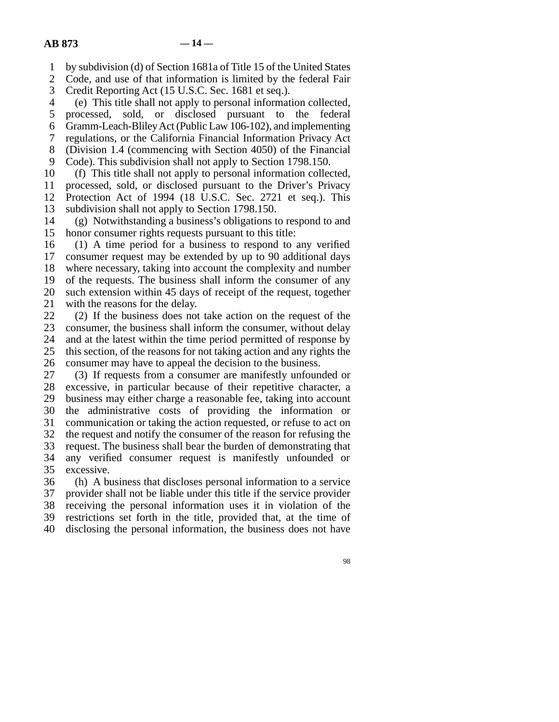1 by subdivision (d) of Section 1681a of Title 15 of the United States

2 Code, and use of that information is limited by the federal Fair 3 Credit Reporting Act (15 U.S.C. Sec. 1681 et seq.).

Credit Reporting Act (15 U.S.C. Sec. 1681 et seq.).

 line 4 (e) This title shall not apply to personal information collected, 5 processed, sold, or disclosed pursuant to the federal 6 Gramm-Leach-Bliley Act (Public Law 106-102), and implementing 7 regulations, or the California Financial Information Privacy Act

8 (Division 1.4 (commencing with Section 4050) of the Financial

9 Code). This subdivision shall not apply to Section 1798.150.

10 (f) This title shall not apply to personal information collected,

11 processed, sold, or disclosed pursuant to the Driver's Privacy

12 Protection Act of 1994 (18 U.S.C. Sec. 2721 et seq.). This 13 subdivision shall not apply to Section 1798.150.

14 (g) Notwithstanding a business's obligations to respond to and 15 honor consumer rights requests pursuant to this title:

16 (1) A time period for a business to respond to any verified 17 consumer request may be extended by up to 90 additional days 18 where necessary, taking into account the complexity and number 19 of the requests. The business shall inform the consumer of any 20 such extension within 45 days of receipt of the request, together 21 with the reasons for the delay.

22 (2) If the business does not take action on the request of the  $23$  consumer, the business shall inform the consumer, without delay consumer, the business shall inform the consumer, without delay 24 and at the latest within the time period permitted of response by<br>25 this section, of the reasons for not taking action and any rights the this section, of the reasons for not taking action and any rights the 26 consumer may have to appeal the decision to the business.

27 (3) If requests from a consumer are manifestly unfounded or 28 excessive, in particular because of their repetitive character, a 29 business may either charge a reasonable fee, taking into account 30 the administrative costs of providing the information or 31 communication or taking the action requested, or refuse to act on 32 the request and notify the consumer of the reason for refusing the 33 request. The business shall bear the burden of demonstrating that 34 any verified consumer request is manifestly unfounded or 35 excessive.

36 (h) A business that discloses personal information to a service 37 provider shall not be liable under this title if the service provider 38 receiving the personal information uses it in violation of the 39 restrictions set forth in the title, provided that, at the time of 40 disclosing the personal information, the business does not have